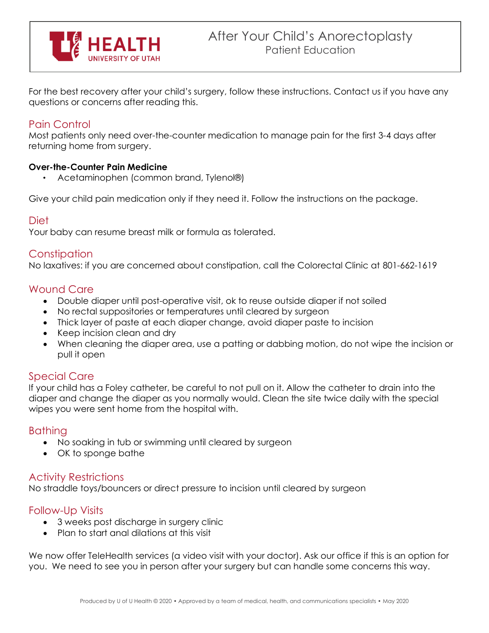

For the best recovery after your child's surgery, follow these instructions. Contact us if you have any questions or concerns after reading this.

# Pain Control

Most patients only need over-the-counter medication to manage pain for the first 3-4 days after returning home from surgery.

#### **Over-the-Counter Pain Medicine**

• Acetaminophen (common brand, Tylenol®)

Give your child pain medication only if they need it. Follow the instructions on the package.

#### Diet

Your baby can resume breast milk or formula as tolerated.

## **Constipation**

No laxatives: if you are concerned about constipation, call the Colorectal Clinic at 801-662-1619

## Wound Care

- Double diaper until post-operative visit, ok to reuse outside diaper if not soiled
- No rectal suppositories or temperatures until cleared by surgeon
- Thick layer of paste at each diaper change, avoid diaper paste to incision
- Keep incision clean and dry
- When cleaning the diaper area, use a patting or dabbing motion, do not wipe the incision or pull it open

# Special Care

If your child has a Foley catheter, be careful to not pull on it. Allow the catheter to drain into the diaper and change the diaper as you normally would. Clean the site twice daily with the special wipes you were sent home from the hospital with.

## **Bathing**

- No soaking in tub or swimming until cleared by surgeon
- OK to sponge bathe

## Activity Restrictions

No straddle toys/bouncers or direct pressure to incision until cleared by surgeon

## Follow-Up Visits

- 3 weeks post discharge in surgery clinic
- Plan to start anal dilations at this visit

We now offer TeleHealth services (a video visit with your doctor). Ask our office if this is an option for you. We need to see you in person after your surgery but can handle some concerns this way.